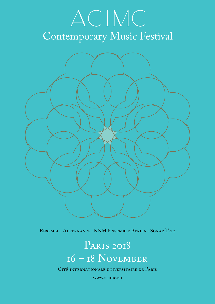# ACIMC Contemporary Music Festival ip aniens de l'abre



Ensemble Alternance . KNM Ensemble Berlin . Sonar Trio

16 – 18 November PARIS 2018

CITÉ INTERNATIONALE UNIVERSITAIRE DE PARIS

www.acimc.eu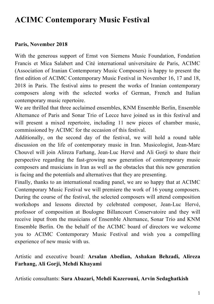## **ACIMC Contemporary Music Festival**

#### **Paris, November 2018**

With the generous support of Ernst von Siemens Music Foundation, Fondation Francis et Mica Salabert and Cité international universitaire de Paris, ACIMC (Association of Iranian Contemporary Music Composers) is happy to present the first edition of ACIMC Contemporary Music Festival in November 16, 17 and 18, 2018 in Paris. The festival aims to present the works of Iranian contemporary composers along with the selected works of German, French and Italian contemporary music repertoire.

We are thrilled that three acclaimed ensembles, KNM Ensemble Berlin, Ensemble Alternance of Paris and Sonar Trio of Lecce have joined us in this festival and will present a mixed repertoire, including 11 new pieces of chamber music, commissioned by ACIMC for the occasion of this festival.

Additionally, on the second day of the festival, we will hold a round table discussion on the life of contemporary music in Iran. Musicologist, Jean-Marc Chouvel will join Alireza Farhang, Jean-Luc Hervé and Ali Gorji to share their perspective regarding the fast-growing new generation of contemporary music composers and musicians in Iran as well as the obstacles that this new generation is facing and the potentials and alternatives that they are presenting.

Finally, thanks to an international reading panel, we are so happy that at ACIMC Contemporary Music Festival we will premiere the work of 16 young composers. During the course of the festival, the selected composers will attend composition workshops and lessons directed by celebrated composer, Jean-Luc Hervé, professor of composition at Boulogne Billancourt Conservatoire and they will receive input from the musicians of Ensemble Alternance, Sonar Trio and KNM Ensemble Berlin. On the behalf of the ACIMC board of directors we welcome you to ACIMC Contemporary Music Festival and wish you a compelling experience of new music with us.

Artistic and executive board: **Arsalan Abedian, Ashakan Behzadi, Alireza Farhang, Ali Gorji, Mehdi Khayami**

Artistic consultants: **Sara Abazari, Mehdi Kazerouni, Arvin Sedaghatkish**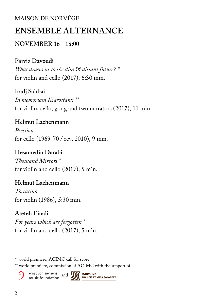## MAISON DE NORVÈGE **ENSEMBLE ALTERNANCE**

## **NOVEMBER 16 – 18:00**

## **Parviz Davoudi**

*What draws us to the dim & distant future? \** for violin and cello (2017), 6:30 min.

## **Iradj Sahbai**

*In memoriam Kiarostami \*\** for violin, cello, gong and two narrators (2017), 11 min.

## **Helmut Lachenmann**

*Pression* for cello (1969-70 / rev. 2010), 9 min.

## **Hesamedin Darabi**

*Thousand Mirrors \** for violin and cello (2017), 5 min.

## **Helmut Lachenmann**

*Toccatina* for violin (1986), 5:30 min.

## **Atefeh Einali**

*For years which are forgotten \** for violin and cello (2017), 5 min.

*\** world premiere, ACIMC call for score

\*\* world premiere, commission of ACIMC with the support of

ernst von siemens and **1998 FONDATION PRANCIS ET**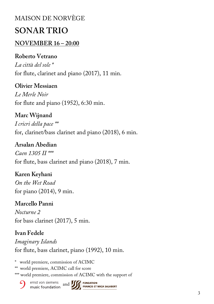# MAISON DE NORVÈGE

## **SONAR TRIO**

## **NOVEMBER 16 – 20:00**

## **Roberto Vetrano**

*La città del sole \** for flute, clarinet and piano (2017), 11 min.

**Olivier Messiaen**

*Le Merle Noir*  for flute and piano (1952), 6:30 min.

**Marc Wijnand** *I cricri della pace \*\** for, clarinet/bass clarinet and piano (2018), 6 min.

**Arsalan Abedian** *Caen 1305 II \*\*\** for flute, bass clarinet and piano (2018), 7 min.

**Karen Keyhani** *On the Wet Road*  for piano (2014), 9 min.

**Marcello Panni** *Nocturne 2*  for bass clarinet (2017), 5 min.

## **Ivan Fedele**

*Imaginary Islands*  for flute, bass clarinet, piano (1992), 10 min.

\* world premiere, commission of ACIMC

\*\* world premiere, ACIMC call for score

\*\*\* world premiere, commission of ACIMC with the support of

ernst von siemens<br>
music foundation<br> **A** 

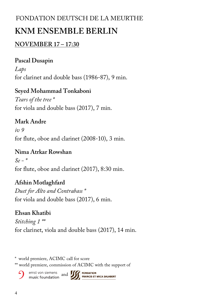## FONDATION DEUTSCH DE LA MEURTHE

## **KNM ENSEMBLE BERLIN**

## **NOVEMBER 17 – 17:30**

## **Pascal Dusapin**

*Laps*  for clarinet and double bass (1986-87), 9 min.

## **Seyed Mohammad Tonkaboni**

*Tears of the tree \** for viola and double bass (2017), 7 min.

## **Mark Andre**

*iv 9*  for flute, oboe and clarinet (2008-10), 3 min.

## **Nima Atrkar Rowshan**

*Se - \** for flute, oboe and clarinet (2017), 8:30 min.

## **Afshin Motlaghfard**

*Duet for Alto and Contrabass \** for viola and double bass (2017), 6 min.

## **Ehsan Khatibi**

*Stitching 1 \*\** for clarinet, viola and double bass (2017), 14 min.

\* world premiere, ACIMC call for score

\*\* world premiere, commission of ACIMC with the support of

ernst von siemens and **1998 FONDATION**<br>music foundation and **1999 FRANCIS ET MICA SALABERT**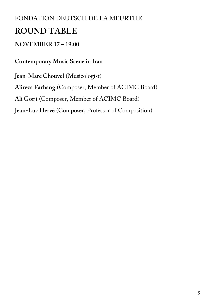## FONDATION DEUTSCH DE LA MEURTHE

## **ROUND TABLE**

## **NOVEMBER 17 – 19:00**

**Contemporary Music Scene in Iran**

**Jean-Marc Chouvel** (Musicologist) **Alireza Farhang** (Composer, Member of ACIMC Board) **Ali Gorji** (Composer, Member of ACIMC Board) **Jean-Luc Hervé** (Composer, Professor of Composition)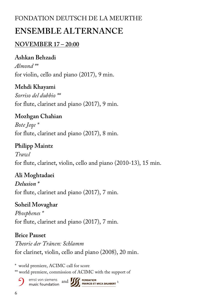## FONDATION DEUTSCH DE LA MEURTHE

## **ENSEMBLE ALTERNANCE**

## **NOVEMBER 17 – 20:00**

## **Ashkan Behzadi**

*Almond \*\** for violin, cello and piano (2017), 9 min.

**Mehdi Khayami** *Sorriso del dubbio \*\** for flute, clarinet and piano (2017), 9 min.

**Mozhgan Chahian** *Bote Jeqe \** for flute, clarinet and piano (2017), 8 min.

**Philipp Maintz** *Trawl*  for flute, clarinet, violin, cello and piano (2010-13), 15 min.

**Ali Moghtadaei** *Delusion \** for flute, clarinet and piano (2017), 7 min.

**Soheil Movaghar** *Phosphenes \** for flute, clarinet and piano (2017), 7 min.

## **Brice Pauset**

*Theorie der Tränen: Schlamm* for clarinet, violin, cello and piano (2008), 20 min.

\* world premiere, ACIMC call for score \*\* world premiere, commission of ACIMC with the support of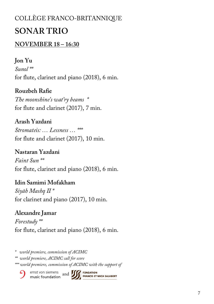## COLLÈGE FRANCO-BRITANNIQUE

## **SONAR TRIO**

## **NOVEMBER 18 – 16:30**

## **Jon Yu**

*Sunol \*\** for flute, clarinet and piano (2018), 6 min.

**Rouzbeh Rafie**

*The moonshine's wat'ry beams \** for flute and clarinet (2017), 7 min.

**Arash Yazdani**

*Stromateis: … Lessness … \*\*\** for flute and clarinet (2017), 10 min.

**Nastaran Yazdani** *Faint Sun \*\** for flute, clarinet and piano (2018), 6 min.

**Idin Samimi Mofakham** *Siyāh Mashq II \** for clarinet and piano (2017), 10 min.

**Alexandre Jamar** *Forestudy \*\** for flute, clarinet and piano (2018), 6 min.

*\* world premiere, commission of ACIMC*

*\*\* world premiere, ACIMC call for score*

*\*\*\* world premiere, commission of ACIMC with the support of* 

ernst von siemens and **1999 FONDATION**<br>music foundation and **1999 FRANCIS ET MICA SALABERT**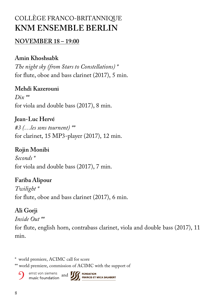## COLLÈGE FRANCO-BRITANNIQUE **KNM ENSEMBLE BERLIN**

## **NOVEMBER 18 – 19:00**

## **Amin Khoshsabk**

*The night sky (from Stars to Constellations) \** for flute, oboe and bass clarinet (2017), 5 min.

## **Mehdi Kazerouni**

*Dix \*\** for viola and double bass (2017), 8 min.

## **Jean-Luc Hervé**

*#3 (…les sons tournent) \*\** for clarinet, 15 MP3-player (2017), 12 min.

## **Rojin Monibi**

*Seconds \** for viola and double bass (2017), 7 min.

## **Fariba Alipour**

*Twilight \** for flute, oboe and bass clarinet (2017), 6 min.

## **Ali Gorji**

*Inside Out \*\**

for flute, english horn, contrabass clarinet, viola and double bass (2017), 11 min.

\* world premiere, ACIMC call for score

\*\* world premiere, commission of ACIMC with the support of

ernst von siemens and **15 FONDATION**<br>music foundation and **15 FRANCIS ET**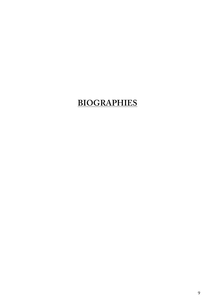## **BIOGRAPHIES**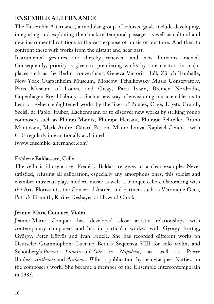## **ENSEMBLE ALTERNANCE**

The Ensemble Alternance, a modular group of soloists, goals include developing, integrating and exploiting the chock of temporal passages as well as cultural and new instrumental rotations in the vast expanse of music of our time. And then to confront these with works from the distant and near past.

Instrumental gestures are thereby renewed and new horizons opened. Consequently, priority is given to premiering works by true creators in major places such as the Berlin Konzerthaus, Geneva Victoria Hall, Zürich Tonhalle, New-York Guggenheim Museum, Moscow Tchaikowsky Music Conservatory, Paris Museum of Louvre and Orsay, Paris Ircam, Bremen Nordradio, Copenhagen Royal Library ... Such a new way of envisioning music enables us to hear or re-hear enlightened works by the likes of Boulez, Cage, Ligeti, Crumb, Scelsi, de Pablo, Huber, Lachenmann or to discover new works by striking young composers such as Philipp Maintz, Philippe Hersant, Philippe Schœller, Bruno Mantovani, Mark André, Gérard Pesson, Mauro Lanza, Raphaël Cendo... with CDs regularly internationally acclaimed.

(www.ensemble-alternance.com)

#### **Frédéric Baldassare, Cello**

The cello is idiosyncrasy. Frédéric Baldassare gives us a clear example. Never satisfied, refusing all calibration, especially any amorphous ones, this soloist and chamber musician plays modern music as well as baroque cello collaborating with the Arts Florissants, the Concert d'Astrée, and partners such as Véronique Gens, Patrick Bismuth, Karine Deshayes or Howard Crook.

### **Jeanne-Marie Conquer, Violin**

Jeanne-Marie Conquer has developed close artistic relationships with contemporary composers and has in particular worked with György Kurtág, György, Peter Eötvös and Ivan Fedele. She has recorded different works on Deutsche Grammophon: Luciano Berio's Sequenza VIII for solo violin, and Schönberg's *Pierrot Lunaire* and *Ode to Napoleon*, as well as Pierre Boulez's *Anthèmes* and *Anthèmes II* for a publication by Jean-Jacques Nattiez on the composer's work. She became a member of the Ensemble Intercontemporain in 1985.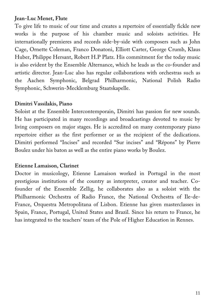#### **Jean-Luc Menet, Flute**

To give life to music of our time and creates a repertoire of essentially fickle new works is the purpose of his chamber music and soloists activities. He internationally premieres and records side-by-side with composers such as John Cage, Ornette Coleman, Franco Donatoni, Elliott Carter, George Crumb, Klaus Huber, Philippe Hersant, Robert H.P Platz. His commitment for the today music is also evident by the Ensemble Alternance, which he leads as the co-founder and artistic director. Jean-Luc also has regular collaborations with orchestras such as the Aachen Symphonic, Belgrad Philharmonic, National Polish Radio Symphonic, Schwerin-Mecklemburg Staatskapelle.

#### **Dimitri Vassilakis, Piano**

Soloist at the Ensemble Intercontemporain, Dimitri has passion for new sounds. He has participated in many recordings and broadcastings devoted to music by living composers on major stages. He is accredited on many contemporary piano repertoire either as the first performer or as the recipient of the dedications. Dimitri performed "Incises" and recorded "Sur incises" and "Répons" by Pierre Boulez under his baton as well as the entire piano works by Boulez.

#### **Etienne Lamaison, Clarinet**

Doctor in musicology, Etienne Lamaison worked in Portugal in the most prestigious institutions of the country as interpreter, creator and teacher. Cofounder of the Ensemble Zellig, he collaborates also as a soloist with the Philharmonic Orchestra of Radio France, the National Orchestra of Ile-de-France, Orquestra Metropolitana of Lisbon. Etienne has given masterclasses in Spain, France, Portugal, United States and Brazil. Since his return to France, he has integrated to the teachers' team of the Pole of Higher Education in Rennes.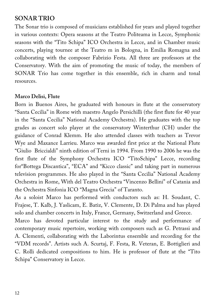## **SONAR TRIO**

The Sonar trio is composed of musicians established for years and played together in various contexts: Opera seasons at the Teatro Politeama in Lecce, Symphonic seasons with the "Tito Schipa" ICO Orchestra in Lecce, and in Chamber music concerts, playing tournee at the Teatro m in Bologna, in Emilia Romagna and collaborating with the composer Fabrizio Festa. All three are professors at the Conservatory. With the aim of promoting the music of today, the members of SONAR Trio has come together in this ensemble, rich in charm and tonal resources.

#### **Marco Delisi, Flute**

Born in Buenos Aires, he graduated with honours in flute at the conservatory "Santa Cecilia" in Rome with maestro Angelo Persichilli (the first flute for 40 year in the "Santa Cecilia" National Academy Orchestra). He graduates with the top grades as concert solo player at the conservatory Winterthur (CH) under the guidance of Conrad Klemm. He also attended classes with teachers as Trevor Wye and Maxance Larrieu. Marco was awarded first price at the National Flute "Giulio Briccialdi" ninth edition of Terni in 1994. From 1990 to 2006 he was the first flute of the Symphony Orchestra ICO "TitoSchipa" Lecce, recording for"Bottega Discantica", "ECA" and "Kicco classic" and taking part in numerous television programmes. He also played in the "Santa Cecilia" National Academy Orchestra in Rome, With del Teatro Orchestra "Vincenzo Bellini" of Catania and the Orchestra Sinfonia ICO "Magna Grecia" of Taranto.

As a soloist Marco has performed with conductors such as: H. Soudant, C. Frajese, T. Kalb, J. Yaslicam, E. Batiz, V. Clemente, D. Di Palma and has played solo and chamber concerts in Italy, France, Germany, Switzerland and Greece.

Marco has devoted particular interest to the study and performance of contemporary music repertoire, working with composers such as G. Petrassi and A. Clementi, collaborating with the Laborintus ensemble and recording for the "VDM records". Artists such A. Scurtaj, F. Festa, R. Veteran, E. Bottiglieri and C. Rolli dedicated compositions to him. He is professor of flute at the "Tito Schipa" Conservatory in Lecce.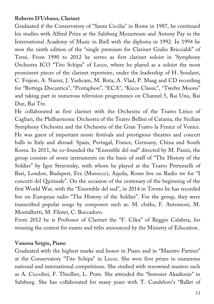#### **Roberto D'Urbano, Clarinet**

Graduated if the Conservatory of "Santa Cecilia" in Rome in 1987, he continued his studies with Alfred Prinz at the Salzburg Mozarteum and Antony Pay in the International Academy of Music in Biell with the diploma in 1992. In 1994 he won the ninth edition of the "single premium for Clarinet Giulio Briccialdi" of Terni. From 1990 to 2012 he serves as first clarinet soloist in 'Symphony Orchestra ICO "Tito Schipa" of Lecce, where he played as a soloist the most prominent pieces of the clarinet repertoire, under the leadership of H. Soudant, C. Frajese, A. Nanut, J. Yaslicam, M. Rota, A. Vlad, P. Maag and CD recording for "Bottega Discantica", "Pentaphon", "ECA", "Kicco Classic", "Twelve Moons" and taking part in numerous television programmes on Channel 5, Rai Uno, Rai Due, Rai Tre.

He collaborated as first clarinet with the Orchestra of the Teatro Lirico of Cagliari, the Philharmonic Orchestra of the Teatro Bellini of Catania, the Sicilian Symphony Orchestra and the Orchestra of the Gran Teatro la Fenice of Venice. He was guest of important music festivals and prestigious theatres and concert halls in Italy and abroad: Spain, Portugal, France, Germany, China and South Korea. In 2011, he co-founded the "Ensemble del sud" directed by M. Panni, the group consists of seven instruments on the basis of staff of "The History of the Soldier" by Igor Stravinsky, with whom he played at the Teatro Petruzzelli of Bari, London, Budapest, Fez (Morocco), Aquila, Rome live on Radio tre for "I concerti del Quirinale". On the occasion of the centenary of the beginning of the first World War, with the "Ensemble del sud", in 2014 in Trento he has recorded live on European radio "The History of the Soldier". For the group, they were transcribed popular songs by composers such as: M. cloths, F. Antonioni, M. Montalbetti, M. Filotei, C. Boccadoro.

From 2012 he is Professor of Clarinet the "F. Cilea" of Reggio Calabria, for winning the contest for exams and titles announced by the Ministry of Education.

#### **Vanessa Sotgiu, Piano**

Graduated with the highest marks and honor in Piano and in "Maestro Partner" at the Conservatory "Tito Schipa" in Lecce. She won first prizes in numerous national and international competitions. She studied with renowned masters such as A. Ciccolini, F. Thiollier, L. Prats. She attended the "Sommer Akademie" in Salzburg. She has collaborated for many years with T. Candeloro's "Ballet of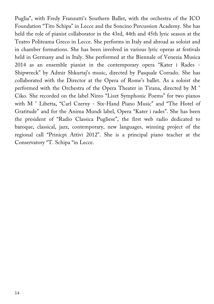Puglia", with Fredy Franzutti's Southern Ballet, with the orchestra of the ICO Foundation "Tito Schipa" in Lecce and the Soncino Percussion Academy. She has held the role of pianist collaborator in the 43rd, 44th and 45th lyric season at the Teatro Politeama Greco in Lecce. She performs in Italy and abroad as soloist and in chamber formations. She has been involved in various lyric operas at festivals held in Germany and in Italy. She performed at the Biennale of Venezia Musica 2014 as an ensemble pianist in the contemporary opera "Kater i Rades - Shipwreck" by Admir Shkurtaj's music, directed by Pasquale Corrado. She has collaborated with the Director at the Opera of Rome's ballet. As a soloist she performed with the Orchestra of the Opera Theater in Tirana, directed by M ° Ciko. She recorded on the label Nireo "Liszt Symphonic Poems" for two pianos with M ° Libetta, "Carl Czerny - Six-Hand Piano Music" and "The Hotel of Gratitude" and for the Anima Mundi label, Opera "Kater i rades". She has been the president of "Radio Classica Pugliese", the first web radio dedicated to baroque, classical, jazz, contemporary, new languages, winning project of the regional call "Prinicpi Attivi 2012". She is a principal piano teacher at the Conservatory "T. Schipa "in Lecce.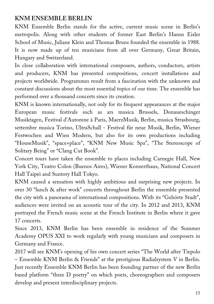## **KNM ENSEMBLE BERLIN**

KNM Ensemble Berlin stands for the active, current music scene in Berlin's metropolis. Along with other students of former East Berlin's Hanns Eisler School of Music, Juliane Klein and Thomas Bruns founded the ensemble in 1988. It is now made up of ten musicians from all over Germany, Great Britain, Hungary and Switzerland.

In close collaboration with international composers, authors, conductors, artists and producers, KNM has presented compositions, concert installations and projects worldwide. Programmes result from a fascination with the unknown and constant discussions about the most essential topics of our time. The ensemble has performed over a thousand concerts since its creation.

KNM is known internationally, not only for its frequent appearances at the major European music festivals such as ars musica Brussels, Donaueschinger Musiktagen, Festival d'Automne à Paris, MaerzMusik, Berlin, musica Strasbourg, settembre musica Torino, UltraSchall - Festival für neue Musik, Berlin, Wiener Festwochen and Wien Modern, but also for its own productions including "HouseMusik", "space+place", "KNM New Music Spa", "The Stereoscope of Solitary Being" or "Clang Cut Book".

Concert tours have taken the ensemble to places including Carnegie Hall, New York City, Teatro Colon (Buenos Aires), Wiener Konzerthaus, National Concert Hall Taipei and Suntory Hall Tokyo.

KNM caused a sensation with highly ambitious and surprising new projects. In over 30 "lunch & after work" concerts throughout Berlin the ensemble presented the city with a panorama of international compositions. With its "Gehörte Stadt", audiences were invited on an acoustic tour of the city. In 2012 and 2013, KNM portrayed the French music scene at the French Institute in Berlin where it gave 17 concerts.

Since 2013, KNM Berlin has been ensemble in residence of the Summer Academy OPUS XXI to work regularly with young musicians and composers in Germany and France.

2017 will see KNM's opening of his own concert series "The World after Tiepolo – Ensemble KNM Berlin & Friends" at the prestigious Radialsystem V in Berlin. Just recently Ensemble KNM Berlin has been founding partner of the new Berlin based platform "three D poetry" on which poets, choreographers and composers develop and present interdisciplinary projects.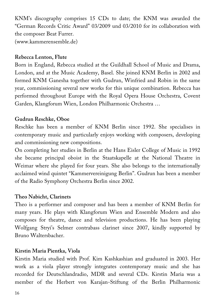KNM's discography comprises 15 CDs to date; the KNM was awarded the "German Records Critic Award" 03/2009 und 03/2010 for its collaboration with the composer Beat Furrer. (www.kammerensemble.de)

#### **Rebecca Lenton, Flute**

Born in England, Rebecca studied at the Guildhall School of Music and Drama, London, and at the Music Academy, Basel. She joined KNM Berlin in 2002 and formed KNM Ganesha together with Gudrun, Winfried and Robin in the same year, commissioning several new works for this unique combination. Rebecca has performed throughout Europe with the Royal Opera House Orchestra, Covent Garden, Klangforum Wien, London Philharmonic Orchestra …

#### **Gudrun Reschke, Oboe**

Reschke has been a member of KNM Berlin since 1992. She specialises in contemporary music and particularly enjoys working with composers, developing and commissioning new compositions.

On completing her studies in Berlin at the Hans Eisler College of Music in 1992 she became principal oboist in the Staatskapelle at the National Theatre in Weimar where she played for four years. She also belongs to the internationally acclaimed wind quintet "Kammervereinigung Berlin". Gudrun has been a member of the Radio Symphony Orchestra Berlin since 2002.

### **Theo Nabicht, Clarinets**

Theo is a performer and composer and has been a member of KNM Berlin for many years. He plays with Klangforum Wien and Ensemble Modern and also composes for theatre, dance and television productions. He has been playing Wolfgang Stryi's Selmer contrabass clarinet since 2007, kindly supported by Bruno Waltersbacher.

### **Kirstin Maria Pientka, Viola**

Kirstin Maria studied with Prof. Kim Kashkashian and graduated in 2003. Her work as a viola player strongly integrates contemporary music and she has recorded for Deutschlandradio, MDR and several CDs. Kirstin Maria was a member of the Herbert von Karajan-Stiftung of the Berlin Philharmonic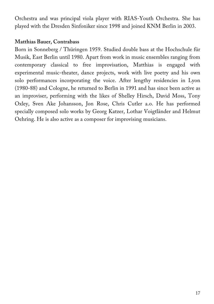Orchestra and was principal viola player with RIAS-Youth Orchestra. She has played with the Dresden Sinfoniker since 1998 and joined KNM Berlin in 2003.

#### **Matthias Bauer, Contrabass**

Born in Sonneberg / Thüringen 1959. Studied double bass at the Hochschule für Musik, East Berlin until 1980. Apart from work in music ensembles ranging from contemporary classical to free improvisation, Matthias is engaged with experimental music-theater, dance projects, work with live poetry and his own solo performances incorporating the voice. After lengthy residencies in Lyon (1980-88) and Cologne, he returned to Berlin in 1991 and has since been active as an improviser, performing with the likes of Shelley Hirsch, David Moss, Tony Oxley, Sven Ake Johansson, Jon Rose, Chris Cutler a.o. He has performed specially composed solo works by Georg Katzer, Lothar Voigtländer and Helmut Oehring. He is also active as a composer for improvising musicians.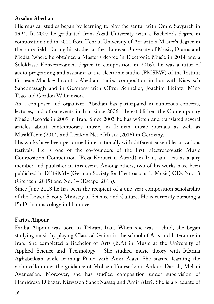### **Arsalan Abedian**

His musical studies began by learning to play the santur with Omid Sayyareh in 1994. In 2007 he graduated from Azad University with a Bachelor's degree in composition and in 2011 from Tehran University of Art with a Master's degree in the same field. During his studies at the Hanover University of Music, Drama and Media (where he obtained a Master's degree in Electronic Music in 2014 and a Soloklasse Konzertexamen degree in composition in 2016), he was a tutor of audio programing and assistant at the electronic studio (FMSBW) of the Institut für neue Musik – Incontri. Abedian studied composition in Iran with Kiawasch Sahebnassagh and in Germany with Oliver Schneller, Joachim Heintz, Ming Tsao and Gordon Williamson.

As a composer and organizer, Abedian has participated in numerous concerts, lectures, and other events in Iran since 2006. He established the Contemporary Music Records in 2009 in Iran. Since 2003 he has written and translated several articles about contemporary music, in Iranian music journals as well as MusikTexte (2014) and Lexikon Neue Musik (2016) in Germany.

His works have been performed internationally with different ensembles at various festivals. He is one of the co-founders of the first Electroacoustic Music Composition Competition (Reza Korourian Award) in Iran, and acts as a jury member and publisher in this event. Among others, two of his works have been published in DEGEM- (German Society for Electroacoustic Music) CDs No. 13 (Grenzen, 2015) and No. 14 (Escape, 2016).

Since June 2018 he has been the recipient of a one-year composition scholarship of the Lower Saxony Ministry of Science and Culture. He is currently pursuing a Ph.D. in musicology in Hannover.

#### **Fariba Alipour**

Fariba Alipour was born in Tehran, Iran. When she was a child, she began studying music by playing Classical Guitar in the school of Arts and Literature in Iran. She completed a Bachelor of Arts (B.A) in Music at the University of Applied Science and Technology. She studied music theory with Marina Aghabeikian while learning Piano with Amir Alavi. She started learning the violoncello under the guidance of Mohsen Touyserkani, Ankido Darash, Melani Avanessian. Moreover, she has studied composition under supervision of Hamidreza Dibazar, Kiawasch SahebNassaq and Amir Alavi. She is a graduate of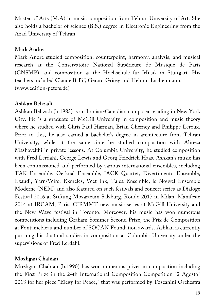Master of Arts (M.A) in music composition from Tehran University of Art. She also holds a bachelor of science (B.S.) degree in Electronic Engineering from the Azad University of Tehran.

### **Mark Andre**

Mark Andre studied composition, counterpoint, harmony, analysis, and musical research at the Conservatoire National Supérieure de Musique de Paris (CNSMP), and composition at the Hochschule für Musik in Stuttgart. His teachers included Claude Ballif, Gérard Grisey and Helmut Lachenmann. (www.edition-peters.de)

## **Ashkan Behzadi**

Ashkan Behzadi (b.1983) is an Iranian-Canadian composer residing in New York City. He is a graduate of McGill University in composition and music theory where he studied with Chris Paul Harman, Brian Cherney and Philippe Leroux. Prior to this, he also earned a bachelor's degree in architecture from Tehran University, while at the same time he studied composition with Alireza Mashayekhi in private lessons. At Columbia University, he studied composition with Fred Lerdahl, George Lewis and Georg Friedrich Haas. Ashkan's music has been commissioned and performed by various international ensembles, including TAK Ensemble, Oerknal Ensemble, JACK Quartet, Divertimento Ensemble, Exaudi, Yarn/Wire, Ekmeles, Wet Ink, Talea Ensemble, le Nouvel Ensemble Moderne (NEM) and also featured on such festivals and concert series as Dialoge Festival 2016 at Stiftung Mozarteum Salzburg, Rondo 2017 in Milan, Manifeste 2014 at IRCAM, Paris, CIRMMT new music series at McGill University and the New Wave festival in Toronto. Moreover, his music has won numerous competitions including Graham Sommer Second Prize, the Prix de Composition at Fontainebleau and number of SOCAN Foundation awards. Ashkan is currently pursuing his doctoral studies in composition at Columbia University under the supervisions of Fred Lerdahl.

## **Mozhgan Chahian**

Mozhgan Chahian (b.1990) has won numerous prizes in composition including the First Prize in the 24th International Composition Competition "2 Agosto" 2018 for her piece "Elegy for Peace," that was performed by Toscanini Orchestra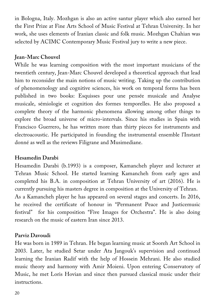in Bologna, Italy. Mozhgan is also an active santur player which also earned her the First Prize at Fine Arts School of Music Festival at Tehran University. In her work, she uses elements of Iranian classic and folk music. Mozhgan Chahian was selected by ACIMC Contemporary Music Festival jury to write a new piece.

## **Jean-Marc Chouvel**

While he was learning composition with the most important musicians of the twentieth century, Jean-Marc Chouvel developed a theoretical approach that lead him to reconsider the main notions of music writing. Taking up the contribution of phenomenology and cognitive sciences, his work on temporal forms has been published in two books: Esquisses pour une pensée musicale and Analyse musicale, sémiologie et cognition des formes temporelles. He also proposed a complete theory of the harmonic phenomena allowing among other things to explore the broad universe of micro-intervals. Since his studies in Spain with Francisco Guerrero, he has written more than thirty pieces for instruments and electroacoustic. He participated in founding the instrumental ensemble l'Instant donné as well as the reviews Filigrane and Musimediane.

### **Hesamedin Darabi**

Hesamedin Darabi (b.1993) is a composer, Kamancheh player and lecturer at Tehran Music School. He started learning Kamancheh from early ages and completed his B.A. in composition at Tehran University of art (2016). He is currently pursuing his masters degree in composition at the University of Tehran. As a Kamancheh player he has appeared on several stages and concerts. In 2016, he received the certificate of honour in "Permanent Peace and Justicemusic festival" for his composition "Five Images for Orchestra". He is also doing research on the music of eastern Iran since 2013.

## **Parviz Davoudi**

He was born in 1989 in Tehran. He began learning music at Sooreh Art School in 2003. Later, he studied Setar under Ata Jangouk's supervision and continued learning the Iranian Radif with the help of Hossein Mehrani. He also studied music theory and harmony with Amir Moieni. Upon entering Conservatory of Music, he met Loris Hovian and since then pursued classical music under their instructions.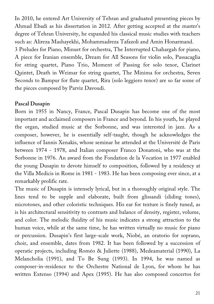In 2010, he entered Art University of Tehran and graduated presenting pieces by Ahmad Ebadi as his dissertation in 2012. After getting accepted at the master's degree of Tehran University, he expanded his classical music studies with teachers such as: Alireza Mashayekhi, Mohammadreza Tafazoli and Amin Honarmand. 3 Preludes for Piano, Minuet for orchestra, The Interrupted Chahargah for piano, A piece for Iranian ensemble, Dream for All Seasons for violin solo, Passacaglia for string quartet, Piano Trio, Moment of Passing for solo tenor, Clarinet Quintet, Death in Weimar for string quartet, The Minima for orchestra, Seven Seconds to Bampur for flute quartet, Rira (solo leggiero tenor) are so far some of the pieces composed by Parviz Davoudi.

#### **Pascal Dusapin**

Born in 1955 in Nancy, France, Pascal Dusapin has become one of the most important and acclaimed composers in France and beyond. In his youth, he played the organ, studied music at the Sorbonne, and was interested in jazz. As a composer, however, he is essentially self-taught, though he acknowledges the influence of Iannis Xenakis, whose seminar he attended at the Université de Paris between 1974 - 1978, and Italian composer Franco Donatoni, who was at the Sorbonne in 1976. An award from the Fondation de la Vocation in 1977 enabled the young Dusapin to devote himself to composition, followed by a residency at the Villa Medicis in Rome in 1981 - 1983. He has been composing ever since, at a remarkably prolific rate.

The music of Dusapin is intensely lyrical, but in a thoroughly original style. The lines tend to be supple and elaborate, built from glissandi (sliding tones), microtones, and other coloristic techniques. His ear for texture is finely tuned, as is his architectural sensitivity to contrasts and balance of density, register, volume, and color. The melodic fluidity of his music indicates a strong attraction to the human voice, while at the same time, he has written virtually no music for piano or percussion. Dusapin's first large-scale work, Niobé, an oratorio for soprano, choir, and ensemble, dates from 1982. It has been followed by a succession of operatic projects, including Roméo & Juliette (1988), Medeamaterial (1990), La Melancholia (1991), and To Be Sung (1993). In 1994, he was named as composer-in-residence to the Orchestre National de Lyon, for whom he has written Extenso (1994) and Apex (1995). He has also composed concertos for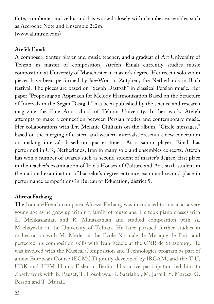flute, trombone, and cello, and has worked closely with chamber ensembles such as Accroche Note and Ensemble 2e2m. (www.allmusic.com)

#### **Atefeh Einali**

A composer, Santur player and music teacher, and a graduat of Art University of Tehran in master of composition, Atefeh Einali currently studies music composition at University of Manchester in master's degree. Her recent solo violin pieces have been performed by Jae-Won in Zutphen, the Netherlands in Bach festival. The pieces are based on "Segah Dastgah" in classical Persian music. Her paper "Proposing an Approach for Melody Harmonization Based on the Structure of Intervals in the Segah Dastgah" has been published by the science and research magazine the Fine Arts school of Tehran University. In her work, Atefeh attempts to make a connection between Persian modes and contemporary music. Her collaborations with Dr. Melanie Chilianis on the album, "Circle messages," based on the merging of eastern and western intervals, presents a new conception on making intervals based on quarter tones. As a santur player, Einali has performed in UK, Netherlands, Iran in many solo and ensembles concerts. Atefeh has won a number of awards such as second student of master's degree, first place in the teacher's examination of Iran's Houses of Culture and Art, sixth student in the national examination of bachelor's degree entrance exam and second place in performance competitions in Bureau of Education, district 5.

### **Alireza Farhang**

The Iranian-French composer Alireza Farhang was introduced to music at a very young age as he grew up within a family of musicians. He took piano classes with E. Melikaslanian and R. Minaskanian and studied composition with A. Machayekhi at the University of Tehran. He later pursued further studies in orchestration with M. Merlet at the École Normale de Musique de Paris and perfected his composition skills with Ivan Fedele at the CNR de Strasbourg. He was involved with the Musical Composition and Technologies program as part of a new European Course (ECMCT) jointly developed by IRCAM, and the T U, UDK and HFM Hanns Eisler in Berlin. His active participation led him to closely work with B. Pauset, T. Hosokawa, K. Saariaho , M. Jarrell, Y. Maresz, G. Pesson and T. Murail.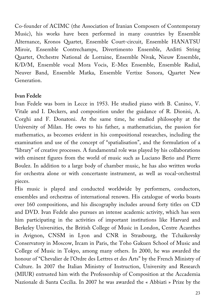Co-founder of ACIMC (the Association of Iranian Composers of Contemporary Music), his works have been performed in many countries by Ensemble Alternance, Kronos Quartet, Ensemble Court-circuit, Ensemble HANATSU Miroir, Ensemble Contrechamps, Divertimento Ensemble, Arditti String Quartet, Orchestre National de Lorraine, Ensemble Nivak, Nieuw Ensemble, K/D/M, Ensemble vocal Mora Vocis, E-Mex Ensemble, Ensemble Radial, Neuver Band, Ensemble Matka, Ensemble Vertixe Sonora, Quartet New Generation.

### **Ivan Fedele**

Ivan Fedele was born in Lecce in 1953. He studied piano with B. Canino, V. Vitale and I. Deckers, and composition under the guidance of R. Dionisi, A. Corghi and F. Donatoni. At the same time, he studied philosophy at the University of Milan. He owes to his father, a mathematician, the passion for mathematics, as becomes evident in his compositional researches, including the examination and use of the concept of "spatialisation", and the formulation of a "library" of creative processes. A fundamental role was played by his collaborations with eminent figures from the world of music such as Luciano Berio and Pierre Boulez. In addition to a large body of chamber music, he has also written works for orchestra alone or with concertante instrument, as well as vocal-orchestral pieces.

His music is played and conducted worldwide by performers, conductors, ensembles and orchestras of international renown. His catalogue of works boasts over 160 compositions, and his discography includes around forty titles on CD and DVD. Ivan Fedele also pursues an intense academic activity, which has seen him participating in the activities of important institutions like Harvard and Berkeley Universities, the British College of Music in London, Centre Acanthes in Avignon, CNSM in Lyon and CNR in Strasbourg, the Tchaikovsky Conservatory in Moscow, Ircam in Paris, the Toho Gakuen School of Music and College of Music in Tokyo, among many others. In 2000, he was awarded the honour of "Chevalier de l'Ordre des Lettres et des Arts" by the French Ministry of Culture. In 2007 the Italian Ministry of Instruction, University and Research (MIUR) entrusted him with the Professorship of Composition at the Accademia Nazionale di Santa Cecilia. In 2007 he was awarded the « Abbiati » Prize by the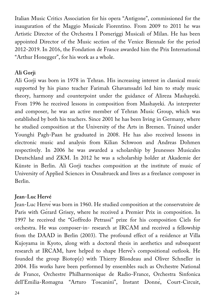Italian Music Critics Association for his opera "Antigone", commissioned for the inauguration of the Maggio Musicale Fiorentino. From 2009 to 2011 he was Artistic Director of the Orchestra I Pomeriggi Musicali of Milan. He has been appointed Director of the Music section of the Venice Biennale for the period 2012-2019. In 2016, the Fondation de France awarded him the Prix International "Arthur Honegger", for his work as a whole.

#### **Ali Gorji**

Ali Gorji was born in 1978 in Tehran. His increasing interest in classical music supported by his piano teacher Farimah Ghavamsadri led him to study music theory, harmony and counterpoint under the guidance of Alireza Mashayeki. From 1996 he received lessons in composition from Mashayeki. As interpreter and composer, he was an active member of Tehran Music Group, which was established by both his teachers. Since 2001 he has been living in Germany, where he studied composition at the University of the Arts in Bremen. Trained under Younghi Pagh-Paan he graduated in 2008. He has also received lessons in electronic music and analysis from Kilian Schwoon and Andreas Dohmen respectively. In 2006 he was awarded a scholarship by Jeunesses Musicales Deutschland and ZKM. In 2012 he was a scholarship holder at Akademie der Künste in Berlin. Ali Gorji teaches composition at the institute of music of University of Applied Sciences in Osnabrueck and lives as a freelance composer in Berlin.

#### **Jean-Luc Hervé**

Jean-Luc Hervéwas born in 1960. He studied composition at the conservatoire de Paris with Gérard Grisey, where he received a Premier Prix in composition. In 1997 he received the "Goffredo Petrassi" prize for his composition Ciels for orchestra. He was composer-in- research at IRCAM and received a fellowship from the DAAD in Berlin (2003). The profound effect of a residence at Villa Kujoyama in Kyoto, along with a doctoral thesis in aesthetics and subsequent research at IRCAM, have helped to shape Hervé's compositional outlook. He founded the group Biotop(e) with Thierry Blondeau and Oliver Schneller in 2004. His works have been performed by ensembles such as Orchestre National de France, Orchestre Philharmonique de Radio-France, Orchestra Sinfonica dell'Emilia-Romagna "Arturo Toscanini", Instant Donné, Court-Circuit,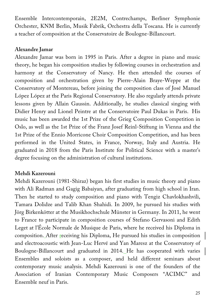Ensemble Intercontemporain, 2E2M, Contrechamps, Berliner Symphonie Orchester, KNM Berlin, Musik Fabrik, Orchestra della Toscana. He is currently a teacher of composition at the Conservatoire de Boulogne-Billancourt.

#### **Alexandre Jamar**

Alexandre Jamar was born in 1995 in Paris. After a degree in piano and music theory, he began his composition studies by following courses in orchestration and harmony at the Conservatory of Nancy. He then attended the courses of composition and orchestration given by Pierre-Alain Braye-Weppe at the Conservatory of Montereau, before joining the composition class of José Manuel López López at the Paris Regional Conservatory. He also regularly attends private lessons given by Allain Gaussin. Additionally, he studies classical singing with Didier Henry and Lionel Peintre at the Conservatoire Paul Dukas in Paris. His music has been awarded the 1st Prize of the Grieg Composition Competition in Oslo, as well as the 1st Prize of the Franz Josef Reinl-Stiftung in Vienna and the 1st Prize of the Ennio Morricone Choir Composition Competition, and has been performed in the United States, in France, Norway, Italy and Austria. He graduated in 2018 from the Paris Institute for Political Science with a master's degree focusing on the administration of cultural institutions.

### **Mehdi Kazerouni**

Mehdi Kazerouni (1981-Shiraz) began his first studies in music theory and piano with Ali Radman and Gagig Babaiyan, after graduating from high school in Iran. Then he started to study composition and piano with Tengiz Chavlokhashvili, Tamara Dolidze and Talib Khan Shahidi. In 2009, he pursued his studies with Jörg Birkenkötter at the Musikhochschule Münster in Germany. In 2011, he went to France to participate in composition courses of Stefano Gervasoni and Edith Leget at l'École Normale de Musique de Paris, where he received his Diploma in composition. After receiving his Diploma, He pursued his studies in composition and electroacoustic with Jean-Luc Hervé and Yan Maresz at the Conservatory of Boulogne-Billancourt and graduated in 2014. He has cooperated with varies Ensembles and soloists as a composer, and held different seminars about contemporary music analysis. Mehdi Kazerouni is one of the founders of the Association of Iranian Contemporary Music Composers "ACIMC" and Ensemble neuf in Paris.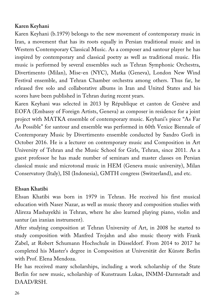#### **Karen Keyhani**

Karen Keyhani (b.1979) belongs to the new movement of contemporary music in Iran, a movement that has its roots equally in Persian traditional music and in Western Contemporary Classical Music. As a composer and santour player he has inspired by contemporary and classical poetry as well as traditional music. His music is performed by several ensembles such as Tehran Symphonic Orchestra, Divertimento (Milan), Mise-en (NYC), Matka (Geneva), London New Wind Festival ensemble, and Tehran Chamber orchestra among others. Thus far, he released five solo and collaborative albums in Iran and United States and his scores have been published in Tehran during recent years.

Karen Keyhani was selected in 2013 by République et canton de Genève and EOFA (Embassy of Foreign Artists, Geneva) as composer in residence for a joint project with MATKA ensemble of contemporary music. Keyhani's piece "As Far As Possible" for santour and ensemble was performed in 60th Venice Biennale of Contemporary Music by Divertimento ensemble conducted by Sandro Gorli in October 2016. He is a lecturer on contemporary music and Composition in Art University of Tehran and the Music School for Girls, Tehran, since 2011. As a guest professor he has made number of seminars and master classes on Persian classical music and microtonal music in HEM (Geneva music university), Milan Conservatory (Italy), ISI (Indonesia), GMTH congress (Switzerland), and etc.

### **Ehsan Khatibi**

Ehsan Khatibi was born in 1979 in Tehran. He received his first musical education with Naser Nazar, as well as music theory and composition studies with Alireza Mashayekhi in Tehran, where he also learned playing piano, violin and santur (an iranian instrument).

After studying composition at Tehran University of Art, in 2008 he started to study composition with Manfred Trojahn and also music theory with Frank Zabel, at Robert Schumann Hochschule in Düsseldorf. From 2014 to 2017 he completed his Master's degree in Composition at Universität der Künste Berlin with Prof. Elena Mendoza.

He has received many scholarships, including a work scholarship of the State Berlin for new music, scholarship of Kunstraum Lukas, INMM-Darmstadt and DAAD/RSH.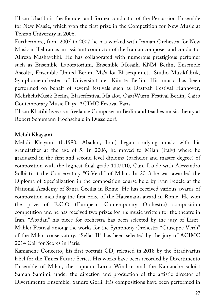Ehsan Khatibi is the founder and former conductor of the Percussion Ensemble for New Music, which won the first prize in the Competition for New Music at Tehran University in 2006.

Furthermore, from 2005 to 2007 he has worked with Iranian Orchestra for New Music in Tehran as an assistant conductor of the Iranian composer and conductor Alireza Mashayekhi. He has collaborated with numerous prestigious perfomer such as Ensemble Laboratorium, Ensemble Mosaik, KNM Berlin, Ensemble Ascolta, Ensemble United Berlin, Ma'a lot Bläserquintett, Studio Musikfabrik, Symphonieorchester of Universität der Künste Berlin. His music has been performed on behalf of several festivals such as Dastgah Festival Hannover, MehrlichtMusik Berlin, Bläserfestival Ma'alot, OaarWurm Festival Berlin, Cairo Contemporary Music Days, ACIMC Festival Paris.

Ehsan Khatibi lives as a freelance Composer in Berlin and teaches music theory at Robert Schumann Hochschule in Düsseldorf.

#### **Mehdi Khayami**

Mehdi Khayami (b.1980, Abadan, Iran) began studying music with his grandfather at the age of 5. In 2006, he moved to Milan (Italy) where he graduated in the first and second level diploma (bachelor and master degree) of composition with the highest final grade 110/110, Cum Laude with Alessandro Solbiati at the Conservatory "G.Verdi" of Milan. In 2013 he was awarded the Diploma of Specialization in the composition course held by Ivan Fedele at the National Academy of Santa Cecilia in Rome. He has received various awards of composition including the first prize of the Hausmann award in Rome. He won the prize of E.C.O (European Contemporary Orchestra) composition competition and he has received two prizes for his music written for the theatre in Iran. "Abadan" his piece for orchestra has been selected by the jury of Liszt-Mahler Festival among the works for the Symphony Orchestra "Giuseppe Verdi" of the Milan conservatory. "Sellat II" has been selected by the jury of ACIMC 2014 Call for Scores in Paris.

Kamanche Concerto, his first portrait CD, released in 2018 by the Stradivarius label for the Times Future Series. His works have been recorded by Divertimento Ensemble of Milan, the soprano Lorna Windsor and the Kamanche soloist Saman Samimi, under the direction and production of the artistic director of Divertimento Ensemble, Sandro Gorli. His compositions have been performed in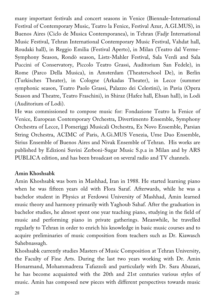many important festivals and concert seasons in Venice (Biennale-International Festival of Contemporary Music, Teatro la Fenice, Festival Azur, A.GI.MUS), in Buenos Aires (Ciclo de Musica Contemporanea), in Tehran (Fadjr International Music Festival, Tehran International Contemporary Music Festival, Vahdat hall, Roudaki hall), in Reggio Emilia (Festival Aperto), in Milan (Teatro dal Verme-Symphony Season, Rondò season, Listz-Mahler Festival, Sala Verdi and Sala Puccini of Conservatory, Piccolo Teatro Grassi, Auditorium San Fedele), in Rome (Parco Della Musica), in Amsterdam (Theaterschool De), in Berlin (Turkisches Theater), in Cologne (Arkadas Theater), in Lecce (summer symphonic season, Teatro Paolo Grassi, Palazzo dei Celestini), in Pavia (Opera Season and Theatre, Teatro Fraschini), in Shiraz (Hafez hall, Ehsan hall), in Lodi (Auditorium of Lodi).

He was commissioned to compose music for: Fondazione Teatro la Fenice of Venice, European Contemporary Orchestra, Divertimento Ensemble, Symphony Orchestra of Lecce, I Pomeriggi Musicali Orchestra, Ex Novo Ensemble, Parsian String Orchestra, ACIMC of Paris, A.Gi.MUS Venezia, Ume Duo Ensemble, Sirius Ensemble of Buenos Aires and Nivak Ensemble of Tehran. His works are published by Edizioni Suvini Zerboni-Sugar Music S.p.a in Milan and by ARS PUBLICA edition, and has been broadcast on several radio and TV channels.

#### **Amin Khoshsabk**

Amin Khoshsabk was born in Mashhad, Iran in 1988. He started learning piano when he was fifteen years old with Flora Saraf. Afterwards, while he was a bachelor student in Physics at Ferdowsi University of Mashhad, Amin learned music theory and harmony primarily with Yaghoub Sahaf. After the graduation in bachelor studies, he almost spent one year teaching piano, studying in the field of music and performing piano in private gatherings. Meanwhile, he travelled regularly to Tehran in order to enrich his knowledge in basic music courses and to acquire preliminaries of music composition from teachers such as Dr. Kiawasch Sahebnassagh.

Khoshsabk currently studies Masters of Music Composition at Tehran University, the Faculty of Fine Arts. During the last two years working with Dr. Amin Honarmand, Mohammadreza Tafazzoli and particularly with Dr. Sara Abazari, he has become acquainted with the 20th and 21st centuries various styles of music. Amin has composed new pieces with different perspectives towards music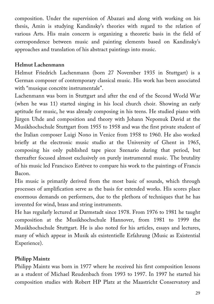composition. Under the supervision of Abazari and along with working on his thesis, Amin is studying Kandinsky's theories with regard to the relation of various Arts. His main concern is organizing a theoretic basis in the field of correspondence between music and painting elements based on Kandinsky's approaches and translation of his abstract paintings into music.

### **Helmut Lachenmann**

Helmut Friedrich Lachenmann (born 27 November 1935 in Stuttgart) is a German composer of contemporary classical music. His work has been associated with "musique concrète instrumentale".

Lachenmann was born in Stuttgart and after the end of the Second World War (when he was 11) started singing in his local church choir. Showing an early aptitude for music, he was already composing in his teens. He studied piano with Jürgen Uhde and composition and theory with Johann Nepomuk David at the Musikhochschule Stuttgart from 1955 to 1958 and was the first private student of the Italian composer Luigi Nono in Venice from 1958 to 1960. He also worked briefly at the electronic music studio at the University of Ghent in 1965, composing his only published tape piece Szenario during that period, but thereafter focused almost exclusively on purely instrumental music. The brutality of his music led Francisco Estévez to compare his work to the paintings of Francis Bacon.

His music is primarily derived from the most basic of sounds, which through processes of amplification serve as the basis for extended works. His scores place enormous demands on performers, due to the plethora of techniques that he has invented for wind, brass and string instruments.

He has regularly lectured at Darmstadt since 1978. From 1976 to 1981 he taught composition at the Musikhochschule Hannover, from 1981 to 1999 the Musikhochschule Stuttgart. He is also noted for his articles, essays and lectures, many of which appear in Musik als existentielle Erfahrung (Music as Existential Experience).

## **Philipp Maintz**

Philipp Maintz was born in 1977 where he received his first composition lessons as a student of Michael Reudenbach from 1993 to 1997. In 1997 he started his composition studies with Robert HP Platz at the Maastricht Conservatory and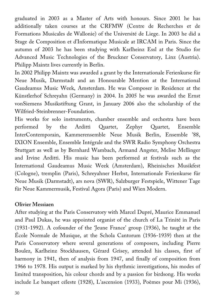graduated in 2003 as a Master of Arts with honours. Since 2001 he has additionally taken courses at the CRFMW (Centre de Recherches et de Formations Musicales de Wallonie) of the Université de Liege. In 2003 he did a Stage de Composition et d'Informatique Musicale at IRCAM in Paris. Since the autumn of 2003 he has been studying with Karlheinz Essl at the Studio for Advanced Music Technologies of the Bruckner Conservatory, Linz (Austria). Philipp Maintz lives currently in Berlin.

In 2002 Philipp Maintz was awarded a grant by the Internationale Ferienkurse für Neue Musik, Darmstadt and an Honourable Mention at the International Gaudeamus Music Week, Amsterdam. He was Composer in Residence at the Künstlerhof Schreyahn (Germany) in 2004. In 2005 he was awarded the Ernst vonSiemens Musikstiftung Grant, in January 2006 also the scholarship of the Wilfried-Steinbrenner-Foundation.

His works for solo instruments, chamber ensemble and orchestra have been performed by the Arditti Quartet, Zephyr Quartet, Ensemble InterContemporain, Kammerensemble Neue Musik Berlin, Ensemble '88, IXION Ensemble, Ensemble Intégrale and the SWR Radio Symphony Orchestra Stuttgart as well as by Bernhard Wambach, Armand Angster, Melise Mellinger and Irvine Arditti. His music has been performed at festivals such as the International Gaudeamus Music Week (Amsterdam), Rheinisches Musikfest (Cologne), tremplin (Paris), Schreyahner Herbst, Internationale Ferienkurse für Neue Musik (Darmstadt), ars nova (SWR), Salzburger Festspiele, Wittener Tage für Neue Kammermusik, Festival Agora (Paris) and Wien Modern.

#### **Olivier Messiaen**

After studying at the Paris Conservatory with Marcel Dupré, Maurice Emmanuel and Paul Dukas, he was appointed organist of the church of La Trinité in Paris (1931-1992). A cofounder of the 'Jeune France' group (1936), he taught at the École Normale de Musique, at the Schola Cantorum (1936-1939) then at the Paris Conservatory where several generations of composers, including Pierre Boulez, Karlheinz Stockhausen, Gérard Grisey, attended his classes, first of harmony in 1941, then of analysis from 1947, and finally of composition from 1966 to 1978. His output is marked by his rhythmic investigations, his modes of limited transposition, his colour chords and by a passion for birdsong. His works include Le banquet céleste (1928), L'ascension (1933), Poèmes pour Mi (1936),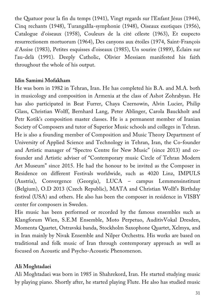the Quatuor pour la fin du temps (1941), Vingt regards sur l'Enfant Jésus (1944), Cinq rechants (1948), Turangalîla-symphonie (1948), Oiseaux exotiques (1956), Catalogue d'oiseaux (1958), Couleurs de la cité céleste (1963), Et exspecto resurrectionem mortuorum (1964), Des canyons aux étoiles (1974, Saint-François d'Assise (1983), Petites esquisses d'oiseaux (1985), Un sourire (1989), Éclairs sur l'au-delà (1991). Deeply Catholic, Olivier Messiaen manifested his faith throughout the whole of his output.

#### **Idin Samimi Mofakham**

He was born in 1982 in Tehran, Iran. He has completed his B.A. and M.A. both in musicology and composition in Armenia at the class of Ashot Zohrabyan. He has also participated in Beat Furrer, Chaya Czernowin, Alvin Lucier, Philip Glass, Christian Wolff, Bernhard Lang, Peter Ablinger, Carola Bauckholt and Petr Kotik's composition master classes. He is a permanent member of Iranian Society of Composers and tutor of Superior Music schools and colleges in Tehran. He is also a founding member of Composition and Music Theory Department of University of Applied Science and Technology in Tehran, Iran, the Co-founder and Artistic manager of "Spectro Centre for New Music" (since 2013) and cofounder and Artistic adviser of "Contemporary music Circle of Tehran Modern Art Museum" since 2015. He had the honour to be invited as the Composer in Residence on different Festivals worldwide, such as 4020 Linz, IMPULS (Austria), Convergence (Georgia), LUCA – campus Lemmensinstituut (Belgium), O.D 2013 (Czech Republic), MATA and Christian Wollf's Birthday festival (USA) and others. He also has been the composer in residence in VISBY center for composers in Sweden.

His music has been performed or recorded by the famous ensembles such as Klangforum Wien, S.E.M Ensemble, Moto Perpetuo, AuditivVokal Dresden, Momenta Quartet, Ostravská banda, Stockholm Saxophone Quartet, Xelmya, and in Iran mainly by Nivak Ensemble and Nilper Orchestra. His works are based on traditional and folk music of Iran through contemporary approach as well as focused on Acoustic and Psycho-Acoustic Phenomenon.

### **Ali Moghtadaei**

Ali Moghtadaei was born in 1985 in Shahrekord, Iran. He started studying music by playing piano. Shortly after, he started playing Flute. He also has studied music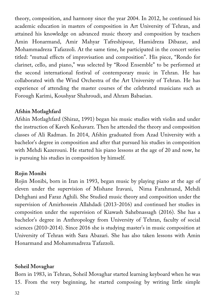theory, composition, and harmony since the year 2004. In 2012, he continued his academic education in masters of composition in Art University of Tehran, and attained his knowledge on advanced music theory and composition by teachers Amin Honarmand, Amir Mahyar Tafreshipour, Hamidreza Dibazar, and Mohammadreza Tafazzoli. At the same time, he participated in the concert series titled: "mutual effects of improvisation and composition". His piece, "Rondo for clarinet, cello, and piano," was selected by "Rood Ensemble" to be performed at the second international festival of contemporary music in Tehran. He has collaborated with the Wind Orchestra of the Art University of Tehran. He has experience of attending the master courses of the celebrated musicians such as Forough Karimi, Koushyar Shahroudi, and Ahram Babaeian.

### **Afshin Motlaghfard**

Afshin Motlaghfard (Shiraz, 1991) began his music studies with violin and under the instruction of Kaveh Keshavarz. Then he attended the theory and composition classes of Ali Radman. In 2014, Afshin graduated from Azad University with a bachelor's degree in composition and after that pursued his studies in composition with Mehdi Kazerouni. He started his piano lessons at the age of 20 and now, he is pursuing his studies in composition by himself.

#### **Rojin Monibi**

Rojin Monibi, born in Iran in 1993, began music by playing piano at the age of eleven under the supervision of Mishane Iravani, Nima Farahmand, Mehdi Dehghani and Faraz Aghili. She Studied music theory and composition under the supervision of Amirhossein Allahdadi (2013-2016) and continued her studies in composition under the supervision of Kiawash Sahebnassagh (2016). She has a bachelor's degree in Anthropology from University of Tehran, faculty of social sciences (2010-2014). Since 2016 she is studying master's in music composition at University of Tehran with Sara Abazari. She has also taken lessons with Amin Honarmand and Mohammadreza Tafazzoli.

#### **Soheil Movaghar**

Born in 1983, in Tehran, Soheil Movaghar started learning keyboard when he was 15. From the very beginning, he started composing by writing little simple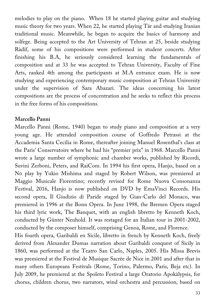melodies to play on the piano. When 18 he started playing guitar and studying music theory for two years. When 22, he started playing Tār and studying Iranian traditional music. Meanwhile, he began to acquire the basics of harmony and solfege. Being accepted to the Art University of Tehran at 25, beside studying Ràdïf, some of his compositions were performed in student concerts. After finishing his B.A, he seriously considered learning the fundamentals of composition and at 33 he was accepted to Tehran University, Faculty of Fine Arts, ranked 4th among the participants at M.A entrance exam. He is now studying and experiencing contemporary music composition at Tehran University under the supervision of Sara Abazari. The ideas concerning his latest compositions are the process of concentration and he seeks to reflect this process in the free forms of his compositions.

#### **Marcello Panni**

Marcello Panni (Rome, 1940) began to study piano and composition at a very young age. He attended composition course of Goffredo Petrassi at the Accademia Santa Cecilia in Rome, thereafter joining Manuel Rosenthal's class at the Paris' Conservatoire where he had his "premier prix" in 1968. Marcello Panni wrote a large number of symphonic and chamber works, published by Ricordi, Suvini Zerboni, Peters, and RaiCom. In 1994 his first opera, Hanjo, based on a Nō play by Yukio Mishima and staged by Robert Wilson, was premiered at Maggio Musicale Fiorentino; recently revised for Rome Nuova Consonanza Festival, 2016, Hanjo is now published on DVD by EmaVinci Records. His second opera, Il Giudizio di Paride staged by Gian-Carlo del Monaco, was premiered in 1996 at the Bonn Opera. In June 1998, the Bremen Opera staged his third lyric work, The Banquet, with an english libretto by Kenneth Koch, conducted by Günter Neuhold. It was restaged for an Italian tour in 2001-2002, conducted by the composer himself, comprising Genoa, Rome, and Florence.

His fourth opera, Garibaldi en Sicile, libretto in french by Kenneth Koch, freely derived from Alexander Dumas narration about Garibaldi conquest of Sicily in 1860, was performed at the Teatro San Carlo, Naples, 2005. His Missa Brevis was premiered at the Festival de Musique Sacrée de Nice in 2001 and after that in many others Europeans Festivals (Rome, Torino, Palermo, Paris, Beja etc). In July 2009, he premiered at the Spoleto Festival a large Oratorio Apokàlypsis, for chorus, children chorus, two narrators, wind orchestra and percussion, based on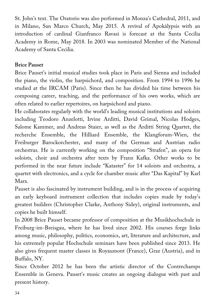St. John's text. The Oratorio was also performed in Monza's Cathedral, 2011, and in Milano, San Marco Church, May 2015. A revival of Apokàlypsis with an introduction of cardinal Gianfranco Ravasi is forecast at the Santa Cecilia Academy in Rome, May 2018. In 2003 was nominated Member of the National Academy of Santa Cecilia.

#### **Brice Pauset**

Brice Pauset's initial musical studies took place in Paris and Sienna and included the piano, the violin, the harpsichord, and composition. From 1994 to 1996 he studied at the IRCAM (Paris). Since then he has divided his time between his composing career, teaching, and the performance of his own works, which are often related to earlier repertoires, on harpsichord and piano.

He collaborates regularly with the world's leading musical institutions and soloists including Teodoro Anzelotti, Irvine Arditti, David Grimal, Nicolas Hodges, Salome Kammer, and Andreas Staier, as well as the Arditti String Quartet, the recherche Ensemble, the Hilliard Ensemble, the Klangforum-Wien, the Freiburger Barockorchester, and many of the German and Austrian radio orchestras. He is currently working on the composition "Strafen", an opera for soloists, choir and orchestra after texts by Franz Kafka. Other works to be performed in the near future include "Kataster" for 14 soloists and orchestra, a quartet with electronics, and a cycle for chamber music after "Das Kapital" by Karl Marx.

Pauset is also fascinated by instrument building, and is in the process of acquiring an early keyboard instrument collection that includes copies made by today's greatest builders (Christopher Clarke, Anthony Sidey), original instruments, and copies he built himself.

In 2008 Brice Pauset became professor of composition at the Musikhochschule in Freiburg-im-Breisgau, where he has lived since 2002. His courses forge links among music, philosophy, politics, economics, art, literature and architecture, and his extremely popular Hochschule seminars have been published since 2013. He also gives frequent master classes in Royaumont (France), Graz (Austria), and in Buffalo, NY.

Since October 2012 he has been the artistic director of the Contrechamps Ensemble in Geneva. Pauset's music creates an ongoing dialogue with past and present history.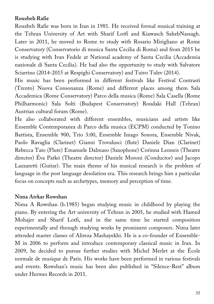#### **Rouzbeh Rafie**

Rouzbeh Rafie was born in Iran in 1981. He received formal musical training at the Tehran University of Art with Sharif Lotfi and Kiawasch SahebNassagh. Later in 2011, he moved to Rome to study with Rosario Mirigliano at Rome Conservatory (Conservatorio di musica Santa Cecilia di Roma) and from 2015 he is studying with Ivan Fedele at National academy of Santa Cecilia (Accademia nazionale di Santa Cecilia). He had also the opportunity to study with Salvatore Sciarrino (2014-2015 at Respighi Conservatory) and Tuivo Tulev (2014).

His music has been performed in different festivals like Festival Contrasti (Trento) Nuova Consonanza (Rome) and different places among them Sala Accademica (Rome Conservatory) Parco della musica (Rome) Sala Casella (Rome Philharmonic) Sala Solti (Budapest Conservatory) Roudaki Hall (Tehran) Austrian cultural forum (Rome).

He also collaborated with different ensembles, musicians and artists like Ensemble Contemporanea di Parco della musica (ECPM) conducted by Tonino Battista, Ensemble 900, Trio 3:00, Ensemble Imago Sonora, Ensemble Nivak, Paolo Ravaglia (Clarinet) Gianni Trovalusci (flute) Daniele Dian (Clarinet) Rebecca Taio (Flute) Emanuele Dalmaso (Saxophone) Corinna Lenneis (Theatre director) Éva Patkó (Theatre director) Daniele Moroni (Conductor) and Jacopo Lazzaretti (Guitar). The main theme of his musical research is the problem of language in the post language desolation era. This research brings him a particular focus on concepts such as archetypes, memory and perception of time.

#### **Nima Atrkar Rowshan**

Nima A Rowshan (b.1985) began studying music in childhood by playing the piano. By entering the Art university of Tehran in 2005, he studied with Hamed Mohajer and Sharif Lotfi, and in the same time he started composition experimentally and through studying works by prominent composers. Nima later attended master classes of Alireza Mashayekhi. He is a co-founder of Ensemble-M in 2006 to perform and introduce contemporary classical music in Iran. In 2009, he decided to pursue further studies with Michel Merlet at the École normale de musique de Paris. His works have been performed in various festivals and events. Rowshan's music has been also published in "Silence-Rest" album under Hermes Records in 2011.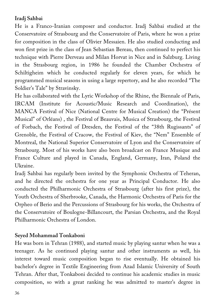## **Iradj Sahbai**

He is a Franco-Iranian composer and conductor. Iradj Sahbai studied at the Conservatoire of Strasbourg and the Conservatoire of Paris, where he won a prize for composition in the class of Olivier Messaien. He also studied conducting and won first prize in the class of Jean Sebastian Bereau, then continued to perfect his technique with Pierre Derveau and Milan Horvat in Nice and in Salzburg. Living in the Strasbourg region, in 1986 he founded the Chamber Orchestra of Schiltigheim which he conducted regularly for eleven years, for which he programmed musical seasons in using a large repertory, and he also recorded "The Soldier's Tale" by Stravinsky.

He has collaborated with the Lyric Workshop of the Rhine, the Biennale of Paris, IRCAM (Institute for Acoustic/Music Research and Coordination), the MANCA Festival of Nice (National Centre for Musical Creation) the "Présent Musical" of Orléans) , the Festival of Beauvais, Musica of Strasbourg, the Festival of Forbach, the Festival of Dresden, the Festival of the "38th Rugissants" of Grenoble, the Festival of Cracow, the Festival of Kiev, the "Nem" Ensemble of Montreal, the National Superior Conservatoire of Lyon and the Conservatoire of Strasbourg. Most of his works have also been broadcast on France Musique and France Culture and played in Canada, England, Germany, Iran, Poland the Ukraine.

Iradj Sahbai has regularly been invited by the Symphonic Orchestra of Teheran, and he directed the orchestra for one year as Principal Conductor. He also conducted the Philharmonic Orchestra of Strasbourg (after his first prize), the Youth Orchestra of Sherbrooke, Canada, the Harmonic Orchestra of Paris for the Orpheo of Berio and the Percussions of Strasbourg for his works, the Orchestra of the Conservatoire of Boulogne-Billancourt, the Parsian Orchestra, and the Royal Philharmonic Orchestra of London.

### **Seyed Mohammad Tonkaboni**

He was born in Tehran (1988), and started music by playing santur when he was a teenager. As he continued playing santur and other instruments as well, his interest toward music composition began to rise eventually. He obtained his bachelor's degree in Textile Engineering from Azad Islamic University of South Tehran. After that, Tonkaboni decided to continue his academic studies in music composition, so with a great ranking he was admitted to master's degree in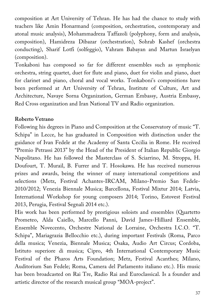composition at Art University of Tehran. He has had the chance to study with teachers like Amin Honarmand (composition, orchestration, contemporary and atonal music analysis), Mohammadreza Taffazoli (polyphony, form and analysis, composition), Hamidreza Dibazar (orchestration), Sohrab Kashef (orchestra conducting), Sharif Lotfi (solfeggio), Vahram Babayan and Martun Israelyan (composition).

Tonkaboni has composed so far for different ensembles such as symphonic orchestra, string quartet, duet for flute and piano, duet for violin and piano, duet for clarinet and piano, choral and vocal works. Tonkaboni's compositions have been performed at Art University of Tehran, Institute of Culture, Art and Architecture, Navaye Sorna Organization, German Embassy, Austria Embassy, Red Cross organization and Iran National TV and Radio organization.

#### **Roberto Vetrano**

Following his degrees in Piano and Composition at the Conservatory of music "T. Schipa" in Lecce, he has graduated in Composition with distinction under the guidance of Ivan Fedele at the Academy of Santa Cecilia in Rome. He received "Premio Petrassi 2013" by the Head of the President of Italian Republic Giorgio Napolitano. He has followed the Masterclass of S. Sciarrino, M. Stroppa, H. Doufourt, T. Murail, B. Furrer and T. Hosokawa. He has received numerous prizes and awards, being the winner of many international competitions and selections (Metz, Festival Achantes-IRCAM, Milano-Premio San Fedele-2010/2012; Venezia Biennale Musica; Barcellona, Festival Mixtur 2014; Latvia, International Workshop for young composers 2014; Torino, Estovest Festival 2013, Perugia, Festival Segnali 2014 etc.).

His work has been performed by prestigious soloists and ensembles (Quartetto Prometeo, Alda Caiello, Marcello Panni, David James-Hilliard Ensemble, Ensemble Novecento, Orchestre National de Lorraine, Orchestra I.C.O. "T. Schipa", Mariagrazia Bellocchio etc.), during important Festivals (Roma, Parco della musica; Venezia, Biennale Musica; Osaka, Audio Art Circus; Cordoba, Istituto superiore di musica; Cipro, 4th International Contemporary Music Festival of the Pharos Arts Foundation; Metz, Festival Acanthes; Milano, Auditorium San Fedele; Roma, Camera del Parlamento italiano etc.). His music has been broadcasted on Rai Tre, Radio Rai and Euroclassical. Is a founder and artistic director of the research musical group "MOA-project".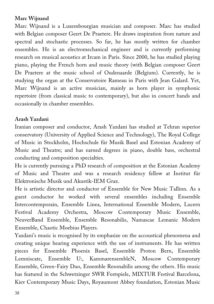## **Marc Wijnand**

Marc Wijnand is a Luxembourgian musician and composer. Marc has studied with Belgian composer Geert De Praetere. He draws inspiration from nature and spectral and stochastic processes. So far, he has mostly written for chamber ensembles. He is an electromechanical engineer and is currently performing research on musical acoustics at Ircam in Paris. Since 2000, he has studied playing piano, playing the French horn and music theory (with Belgian composer Geert De Praetere at the music school of Oudenaarde (Belgium). Currently, he is studying the organ at the Conservatoire Rameau in Paris with Jean Galard. Yet, Marc Wijnand is an active musician, mainly as horn player in symphonic repertoire (from classical music to contemporary), but also in concert bands and occasionally in chamber ensembles.

### **Arash Yazdani**

Iranian composer and conductor, Arash Yazdani has studied at Tehran superior conservatory (University of Applied Science and Technology), The Royal College of Music in Stockholm, Hochschule für Musik Basel and Estonian Academy of Music and Theatre; and has earned degrees in piano, double bass, orchestral conducting and composition specialties.

He is currently pursuing a PhD research of composition at the Estonian Academy of Music and Theatre and was a research residency fellow at Institut für Elektronische Musik und Akustik-IEM Graz.

He is artistic director and conductor of Ensemble for New Music Tallinn. As a guest conductor he worked with several ensembles including Ensemble Intercontemporain, Ensemble Linea, International Ensemble Modern, Lucern Festival Academy Orchestra, Moscow Contemporary Music Ensemble, NeuverBand Ensemble, Ensemble Resonabilis, Namascae Lemanic Modern Ensemble, Chaotic Moebius Players.

Yazdani's music is recognised by its emphasize on the accoustical phenomena and creating unique hearing experience with the use of instruments. He has written pieces for Ensemble Phoenix Basel, Ensemble Proton Bern, Ensemble Lemniscate, Ensemble U:, KammarensembleN, Moscow Contemporary Ensemble, Green-Fairy Duo, Ensemble Resonabilis among the others. His music has featured in the Schwetzinger SWR Festspiele, MIXTUR Festival Barcelona, Kiev Contemporary Music Days, Royaumont Abbey foundation, Estonian Music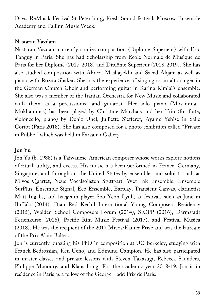Days, ReMusik Festival St Petersburg, Fresh Sound festival, Moscow Ensemble Academy and Tallinn Music Week.

#### **Nastaran Yazdani**

Nastaran Yazdani currently studies composition (Diplôme Supérieur) with Eric Tanguy in Paris. She has had Scholarship from Ecole Normale de Musique de Paris for her Diplome (2017-2018) and Diplôme Supérieur (2018-2019). She has also studied composition with Alireza Mashayekhi and Saeed Alijani as well as piano with Rozita Shaker. She has the experience of singing as an alto singer in the German Church Choir and performing guitar in Karina Kimiai's ensemble. She also was a member of the Iranian Orchestra for New Music and collaborated with them as a percussionist and guitarist. Her solo piano (Mosammat-Mokhammas) has been played by Christine Marchais and her Trio (for flute, violoncello, piano) by Deniz Unel, Julliette Siefferet, Ayame Yshise in Salle Cortot (Paris 2018). She has also composed for a photo exhibition called "Private in Public," which was held in Farvahar Gallery.

### **Jon Yu**

Jon Yu (b. 1988) is a Taiwanese-American composer whose works explore notions of ritual, utility, and excess. His music has been performed in France, Germany, Singapore, and throughout the United States by ensembles and soloists such as Mivos Quartet, Neue Vocalsolisten Stuttgart, Wet Ink Ensemble, Ensemble SurPlus, Ensemble Signal, Eco Ensemble, Earplay, Transient Canvas, clarinetist Matt Ingalls, and haegeum player Soo Yeon Lyuh, at festivals such as June in Buffalo (2014), Dian Red Kechil International Young Composers Residency (2015), Walden School Composers Forum (2014), SICPP (2016), Darmstadt Ferienkurse (2016), Pacific Rim Music Festival (2017), and Festival Musica (2018). He was the recipient of the 2017 Mivos/Kanter Prize and was the laureate of the Prix Alain Baltes.

Jon is currently pursuing his PhD in composition at UC Berkeley, studying with Franck Bedrossian, Ken Ueno, and Edmund Campion. He has also participated in master classes and private lessons with Steven Takasugi, Rebecca Saunders, Philippe Manoury, and Klaus Lang. For the academic year 2018-19, Jon is in residence in Paris as a fellow of the George Ladd Prix de Paris.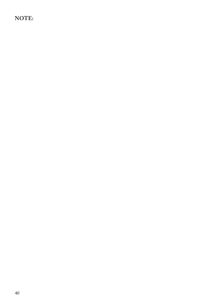## **NOTE:**